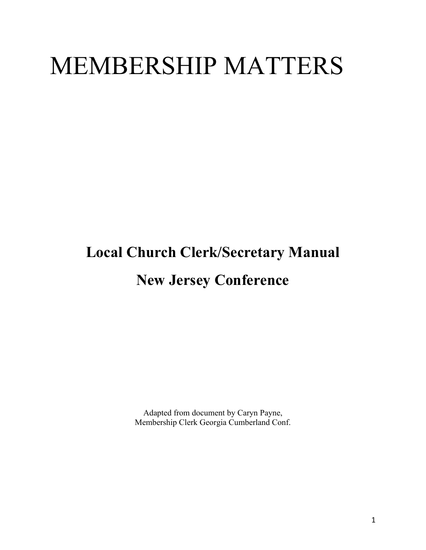# MEMBERSHIP MATTERS

## **Local Church Clerk/Secretary Manual New Jersey Conference**

Adapted from document by Caryn Payne, Membership Clerk Georgia Cumberland Conf.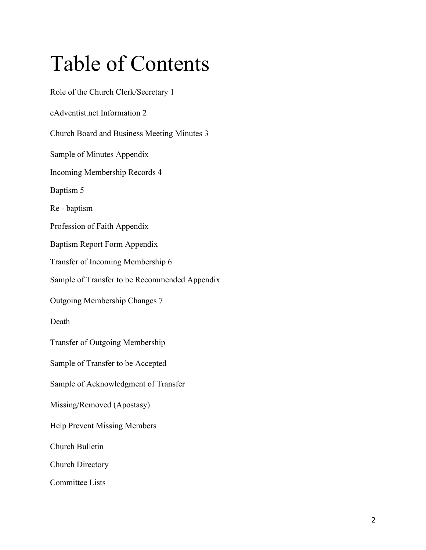## Table of Contents

Role of the Church Clerk/Secretary 1 eAdventist.net Information 2 Church Board and Business Meeting Minutes 3 Sample of Minutes Appendix Incoming Membership Records 4 Baptism 5 Re - baptism Profession of Faith Appendix Baptism Report Form Appendix Transfer of Incoming Membership 6 Sample of Transfer to be Recommended Appendix Outgoing Membership Changes 7 Death Transfer of Outgoing Membership Sample of Transfer to be Accepted Sample of Acknowledgment of Transfer Missing/Removed (Apostasy) Help Prevent Missing Members Church Bulletin Church Directory Committee Lists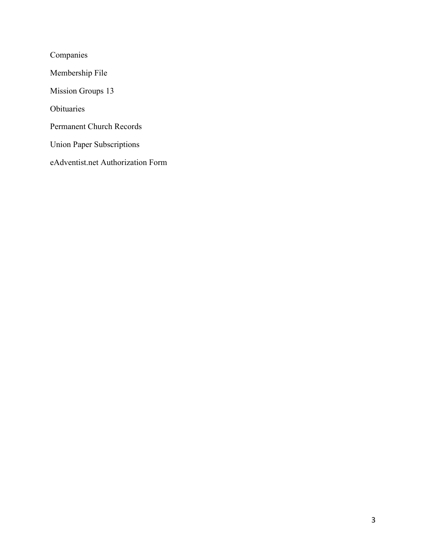Companies Membership File Mission Groups 13 Obituaries Permanent Church Records Union Paper Subscriptions eAdventist.net Authorization Form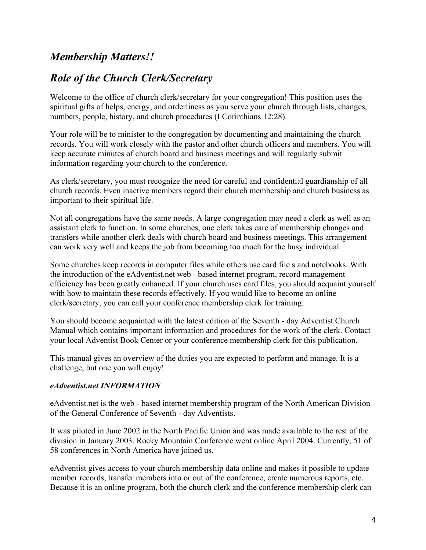### *Membership Matters!!*

### *Role of the Church Clerk/Secretary*

Welcome to the office of church clerk/secretary for your congregation! This position uses the spiritual gifts of helps, energy, and orderliness as you serve your church through lists, changes, numbers, people, history, and church procedures (I Corinthians 12:28).

Your role will be to minister to the congregation by documenting and maintaining the church records. You will work closely with the pastor and other church officers and members. You will keep accurate minutes of church board and business meetings and will regularly submit information regarding your church to the conference.

As clerk/secretary, you must recognize the need for careful and confidential guardianship of all church records. Even inactive members regard their church membership and church business as important to their spiritual life.

Not all congregations have the same needs. A large congregation may need a clerk as well as an assistant clerk to function. In some churches, one clerk takes care of membership changes and transfers while another clerk deals with church board and business meetings. This arrangement can work very well and keeps the job from becoming too much for the busy individual.

Some churches keep records in computer files while others use card file s and notebooks. With the introduction of the eAdventist.net web - based internet program, record management efficiency has been greatly enhanced. If your church uses card files, you should acquaint yourself with how to maintain these records effectively. If you would like to become an online clerk/secretary, you can call your conference membership clerk for training.

You should become acquainted with the latest edition of the Seventh - day Adventist Church Manual which contains important information and procedures for the work of the clerk. Contact your local Adventist Book Center or your conference membership clerk for this publication.

This manual gives an overview of the duties you are expected to perform and manage. It is a challenge, but one you will enjoy!

#### *eAdventist.net INFORMATION*

eAdventist.net is the web - based internet membership program of the North American Division of the General Conference of Seventh - day Adventists.

It was piloted in June 2002 in the North Pacific Union and was made available to the rest of the division in January 2003. Rocky Mountain Conference went online April 2004. Currently, 51 of 58 conferences in North America have joined us.

eAdventist gives access to your church membership data online and makes it possible to update member records, transfer members into or out of the conference, create numerous reports, etc. Because it is an online program, both the church clerk and the conference membership clerk can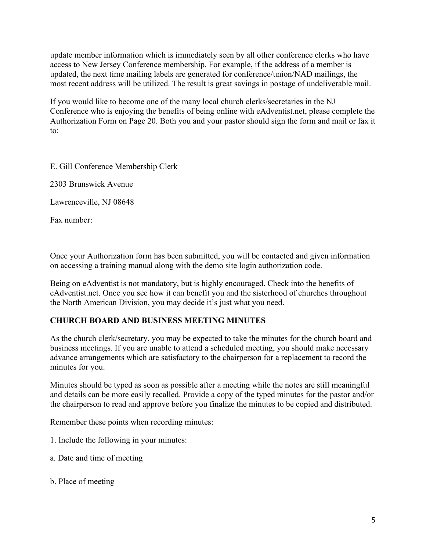update member information which is immediately seen by all other conference clerks who have access to New Jersey Conference membership. For example, if the address of a member is updated, the next time mailing labels are generated for conference/union/NAD mailings, the most recent address will be utilized. The result is great savings in postage of undeliverable mail.

If you would like to become one of the many local church clerks/secretaries in the NJ Conference who is enjoying the benefits of being online with eAdventist.net, please complete the Authorization Form on Page 20. Both you and your pastor should sign the form and mail or fax it to:

E. Gill Conference Membership Clerk

2303 Brunswick Avenue

Lawrenceville, NJ 08648

Fax number:

Once your Authorization form has been submitted, you will be contacted and given information on accessing a training manual along with the demo site login authorization code.

Being on eAdventist is not mandatory, but is highly encouraged. Check into the benefits of eAdventist.net. Once you see how it can benefit you and the sisterhood of churches throughout the North American Division, you may decide it's just what you need.

#### **CHURCH BOARD AND BUSINESS MEETING MINUTES**

As the church clerk/secretary, you may be expected to take the minutes for the church board and business meetings. If you are unable to attend a scheduled meeting, you should make necessary advance arrangements which are satisfactory to the chairperson for a replacement to record the minutes for you.

Minutes should be typed as soon as possible after a meeting while the notes are still meaningful and details can be more easily recalled. Provide a copy of the typed minutes for the pastor and/or the chairperson to read and approve before you finalize the minutes to be copied and distributed.

Remember these points when recording minutes:

- 1. Include the following in your minutes:
- a. Date and time of meeting
- b. Place of meeting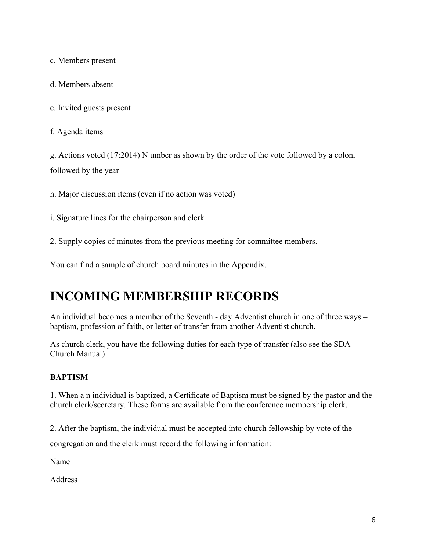c. Members present

d. Members absent

e. Invited guests present

f. Agenda items

g. Actions voted (17:2014) N umber as shown by the order of the vote followed by a colon, followed by the year

h. Major discussion items (even if no action was voted)

i. Signature lines for the chairperson and clerk

2. Supply copies of minutes from the previous meeting for committee members.

You can find a sample of church board minutes in the Appendix.

## **INCOMING MEMBERSHIP RECORDS**

An individual becomes a member of the Seventh - day Adventist church in one of three ways – baptism, profession of faith, or letter of transfer from another Adventist church.

As church clerk, you have the following duties for each type of transfer (also see the SDA Church Manual)

#### **BAPTISM**

1. When a n individual is baptized, a Certificate of Baptism must be signed by the pastor and the church clerk/secretary. These forms are available from the conference membership clerk.

2. After the baptism, the individual must be accepted into church fellowship by vote of the congregation and the clerk must record the following information:

Name

Address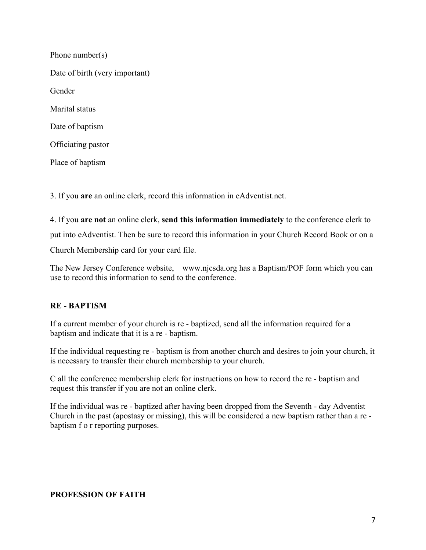| Phone number(s)                |
|--------------------------------|
| Date of birth (very important) |
| Gender                         |
| Marital status                 |
| Date of baptism                |
| Officiating pastor             |
| Place of baptism               |

3. If you **are** an online clerk, record this information in eAdventist.net.

4. If you **are not** an online clerk, **send this information immediately** to the conference clerk to put into eAdventist. Then be sure to record this information in your Church Record Book or on a Church Membership card for your card file.

The New Jersey Conference website, www.njcsda.org has a Baptism/POF form which you can use to record this information to send to the conference.

#### **RE - BAPTISM**

If a current member of your church is re - baptized, send all the information required for a baptism and indicate that it is a re - baptism.

If the individual requesting re - baptism is from another church and desires to join your church, it is necessary to transfer their church membership to your church.

C all the conference membership clerk for instructions on how to record the re - baptism and request this transfer if you are not an online clerk.

If the individual was re - baptized after having been dropped from the Seventh - day Adventist Church in the past (apostasy or missing), this will be considered a new baptism rather than a re baptism f o r reporting purposes.

#### **PROFESSION OF FAITH**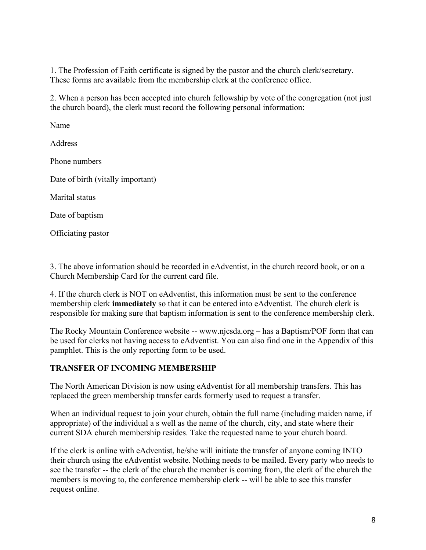1. The Profession of Faith certificate is signed by the pastor and the church clerk/secretary. These forms are available from the membership clerk at the conference office.

2. When a person has been accepted into church fellowship by vote of the congregation (not just the church board), the clerk must record the following personal information:

Name

**Address** 

Phone numbers

Date of birth (vitally important)

Marital status

Date of baptism

Officiating pastor

3. The above information should be recorded in eAdventist, in the church record book, or on a Church Membership Card for the current card file.

4. If the church clerk is NOT on eAdventist, this information must be sent to the conference membership clerk **immediately** so that it can be entered into eAdventist. The church clerk is responsible for making sure that baptism information is sent to the conference membership clerk.

The Rocky Mountain Conference website -- www.njcsda.org – has a Baptism/POF form that can be used for clerks not having access to eAdventist. You can also find one in the Appendix of this pamphlet. This is the only reporting form to be used.

#### **TRANSFER OF INCOMING MEMBERSHIP**

The North American Division is now using eAdventist for all membership transfers. This has replaced the green membership transfer cards formerly used to request a transfer.

When an individual request to join your church, obtain the full name (including maiden name, if appropriate) of the individual a s well as the name of the church, city, and state where their current SDA church membership resides. Take the requested name to your church board.

If the clerk is online with eAdventist, he/she will initiate the transfer of anyone coming INTO their church using the eAdventist website. Nothing needs to be mailed. Every party who needs to see the transfer -- the clerk of the church the member is coming from, the clerk of the church the members is moving to, the conference membership clerk -- will be able to see this transfer request online.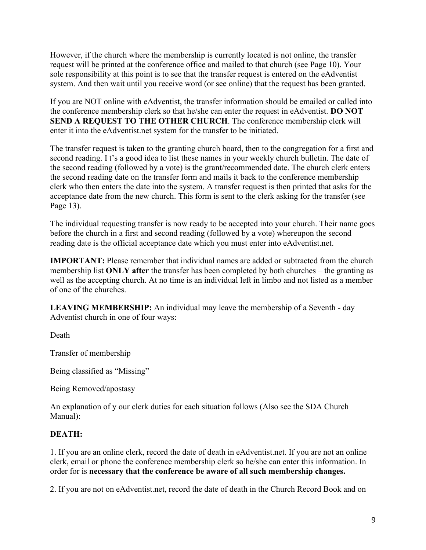However, if the church where the membership is currently located is not online, the transfer request will be printed at the conference office and mailed to that church (see Page 10). Your sole responsibility at this point is to see that the transfer request is entered on the eAdventist system. And then wait until you receive word (or see online) that the request has been granted.

If you are NOT online with eAdventist, the transfer information should be emailed or called into the conference membership clerk so that he/she can enter the request in eAdventist. **DO NOT SEND A REQUEST TO THE OTHER CHURCH**. The conference membership clerk will enter it into the eAdventist.net system for the transfer to be initiated.

The transfer request is taken to the granting church board, then to the congregation for a first and second reading. I t's a good idea to list these names in your weekly church bulletin. The date of the second reading (followed by a vote) is the grant/recommended date. The church clerk enters the second reading date on the transfer form and mails it back to the conference membership clerk who then enters the date into the system. A transfer request is then printed that asks for the acceptance date from the new church. This form is sent to the clerk asking for the transfer (see Page 13).

The individual requesting transfer is now ready to be accepted into your church. Their name goes before the church in a first and second reading (followed by a vote) whereupon the second reading date is the official acceptance date which you must enter into eAdventist.net.

**IMPORTANT:** Please remember that individual names are added or subtracted from the church membership list **ONLY after** the transfer has been completed by both churches – the granting as well as the accepting church. At no time is an individual left in limbo and not listed as a member of one of the churches.

**LEAVING MEMBERSHIP:** An individual may leave the membership of a Seventh - day Adventist church in one of four ways:

Death

Transfer of membership

Being classified as "Missing"

Being Removed/apostasy

An explanation of y our clerk duties for each situation follows (Also see the SDA Church Manual):

#### **DEATH:**

1. If you are an online clerk, record the date of death in eAdventist.net. If you are not an online clerk, email or phone the conference membership clerk so he/she can enter this information. In order for is **necessary that the conference be aware of all such membership changes.** 

2. If you are not on eAdventist.net, record the date of death in the Church Record Book and on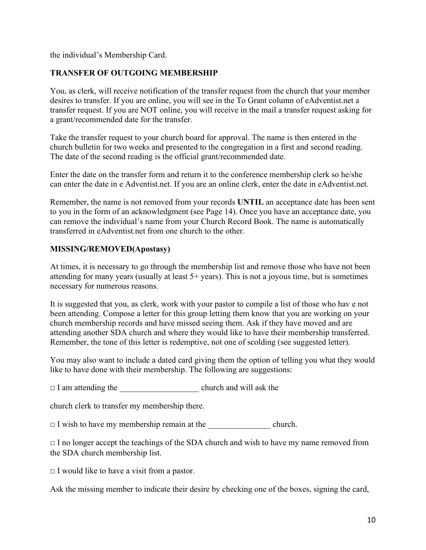the individual's Membership Card.

#### **TRANSFER OF OUTGOING MEMBERSHIP**

You, as clerk, will receive notification of the transfer request from the church that your member desires to transfer. If you are online, you will see in the To Grant column of eAdventist.net a transfer request. If you are NOT online, you will receive in the mail a transfer request asking for a grant/recommended date for the transfer.

Take the transfer request to your church board for approval. The name is then entered in the church bulletin for two weeks and presented to the congregation in a first and second reading. The date of the second reading is the official grant/recommended date.

Enter the date on the transfer form and return it to the conference membership clerk so he/she can enter the date in e Adventist.net. If you are an online clerk, enter the date in eAdventist.net.

Remember, the name is not removed from your records **UNTIL** an acceptance date has been sent to you in the form of an acknowledgment (see Page 14). Once you have an acceptance date, you can remove the individual's name from your Church Record Book. The name is automatically transferred in eAdventist.net from one church to the other.

#### **MISSING/REMOVED(Apostasy)**

At times, it is necessary to go through the membership list and remove those who have not been attending for many years (usually at least 5+ years). This is not a joyous time, but is sometimes necessary for numerous reasons.

It is suggested that you, as clerk, work with your pastor to compile a list of those who hav e not been attending. Compose a letter for this group letting them know that you are working on your church membership records and have missed seeing them. Ask if they have moved and are attending another SDA church and where they would like to have their membership transferred. Remember, the tone of this letter is redemptive, not one of scolding (see suggested letter).

You may also want to include a dated card giving them the option of telling you what they would like to have done with their membership. The following are suggestions:

□ I am attending the \_\_\_\_\_\_\_\_\_\_\_\_\_\_\_\_\_\_\_ church and will ask the

church clerk to transfer my membership there.

□ I wish to have my membership remain at the \_\_\_\_\_\_\_\_\_\_\_\_\_\_\_ church.

 $\Box$  I no longer accept the teachings of the SDA church and wish to have my name removed from the SDA church membership list.

 $\Box$  I would like to have a visit from a pastor.

Ask the missing member to indicate their desire by checking one of the boxes, signing the card,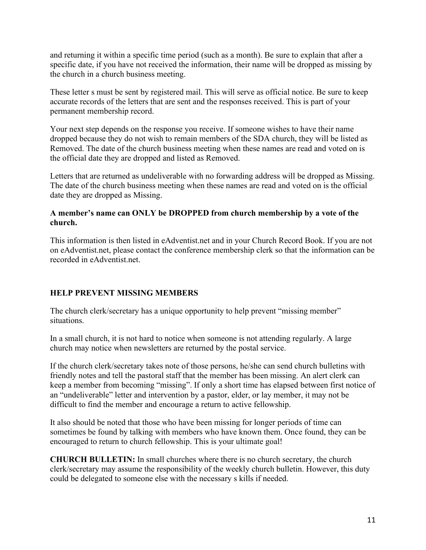and returning it within a specific time period (such as a month). Be sure to explain that after a specific date, if you have not received the information, their name will be dropped as missing by the church in a church business meeting.

These letter s must be sent by registered mail. This will serve as official notice. Be sure to keep accurate records of the letters that are sent and the responses received. This is part of your permanent membership record.

Your next step depends on the response you receive. If someone wishes to have their name dropped because they do not wish to remain members of the SDA church, they will be listed as Removed. The date of the church business meeting when these names are read and voted on is the official date they are dropped and listed as Removed.

Letters that are returned as undeliverable with no forwarding address will be dropped as Missing. The date of the church business meeting when these names are read and voted on is the official date they are dropped as Missing.

#### **A member's name can ONLY be DROPPED from church membership by a vote of the church.**

This information is then listed in eAdventist.net and in your Church Record Book. If you are not on eAdventist.net, please contact the conference membership clerk so that the information can be recorded in eAdventist.net.

#### **HELP PREVENT MISSING MEMBERS**

The church clerk/secretary has a unique opportunity to help prevent "missing member" situations.

In a small church, it is not hard to notice when someone is not attending regularly. A large church may notice when newsletters are returned by the postal service.

If the church clerk/secretary takes note of those persons, he/she can send church bulletins with friendly notes and tell the pastoral staff that the member has been missing. An alert clerk can keep a member from becoming "missing". If only a short time has elapsed between first notice of an "undeliverable" letter and intervention by a pastor, elder, or lay member, it may not be difficult to find the member and encourage a return to active fellowship.

It also should be noted that those who have been missing for longer periods of time can sometimes be found by talking with members who have known them. Once found, they can be encouraged to return to church fellowship. This is your ultimate goal!

**CHURCH BULLETIN:** In small churches where there is no church secretary, the church clerk/secretary may assume the responsibility of the weekly church bulletin. However, this duty could be delegated to someone else with the necessary s kills if needed.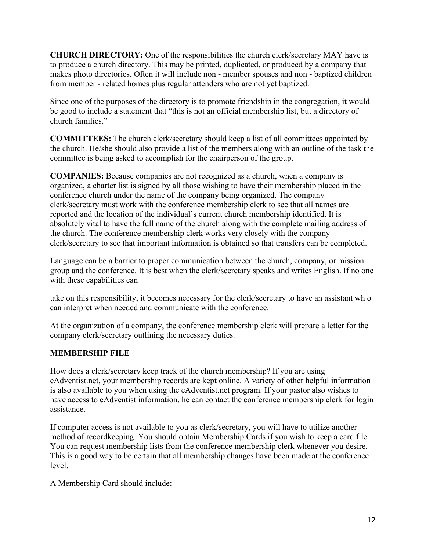**CHURCH DIRECTORY:** One of the responsibilities the church clerk/secretary MAY have is to produce a church directory. This may be printed, duplicated, or produced by a company that makes photo directories. Often it will include non - member spouses and non - baptized children from member - related homes plus regular attenders who are not yet baptized.

Since one of the purposes of the directory is to promote friendship in the congregation, it would be good to include a statement that "this is not an official membership list, but a directory of church families."

**COMMITTEES:** The church clerk/secretary should keep a list of all committees appointed by the church. He/she should also provide a list of the members along with an outline of the task the committee is being asked to accomplish for the chairperson of the group.

**COMPANIES:** Because companies are not recognized as a church, when a company is organized, a charter list is signed by all those wishing to have their membership placed in the conference church under the name of the company being organized. The company clerk/secretary must work with the conference membership clerk to see that all names are reported and the location of the individual's current church membership identified. It is absolutely vital to have the full name of the church along with the complete mailing address of the church. The conference membership clerk works very closely with the company clerk/secretary to see that important information is obtained so that transfers can be completed.

Language can be a barrier to proper communication between the church, company, or mission group and the conference. It is best when the clerk/secretary speaks and writes English. If no one with these capabilities can

take on this responsibility, it becomes necessary for the clerk/secretary to have an assistant wh o can interpret when needed and communicate with the conference.

At the organization of a company, the conference membership clerk will prepare a letter for the company clerk/secretary outlining the necessary duties.

#### **MEMBERSHIP FILE**

How does a clerk/secretary keep track of the church membership? If you are using eAdventist.net, your membership records are kept online. A variety of other helpful information is also available to you when using the eAdventist.net program. If your pastor also wishes to have access to eAdventist information, he can contact the conference membership clerk for login assistance.

If computer access is not available to you as clerk/secretary, you will have to utilize another method of recordkeeping. You should obtain Membership Cards if you wish to keep a card file. You can request membership lists from the conference membership clerk whenever you desire. This is a good way to be certain that all membership changes have been made at the conference level.

A Membership Card should include: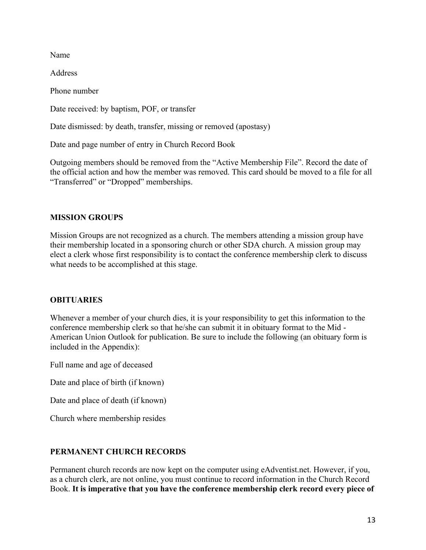Name

Address

Phone number

Date received: by baptism, POF, or transfer

Date dismissed: by death, transfer, missing or removed (apostasy)

Date and page number of entry in Church Record Book

Outgoing members should be removed from the "Active Membership File". Record the date of the official action and how the member was removed. This card should be moved to a file for all "Transferred" or "Dropped" memberships.

#### **MISSION GROUPS**

Mission Groups are not recognized as a church. The members attending a mission group have their membership located in a sponsoring church or other SDA church. A mission group may elect a clerk whose first responsibility is to contact the conference membership clerk to discuss what needs to be accomplished at this stage.

#### **OBITUARIES**

Whenever a member of your church dies, it is your responsibility to get this information to the conference membership clerk so that he/she can submit it in obituary format to the Mid - American Union Outlook for publication. Be sure to include the following (an obituary form is included in the Appendix):

Full name and age of deceased

Date and place of birth (if known)

Date and place of death (if known)

Church where membership resides

#### **PERMANENT CHURCH RECORDS**

Permanent church records are now kept on the computer using eAdventist.net. However, if you, as a church clerk, are not online, you must continue to record information in the Church Record Book. **It is imperative that you have the conference membership clerk record every piece of**